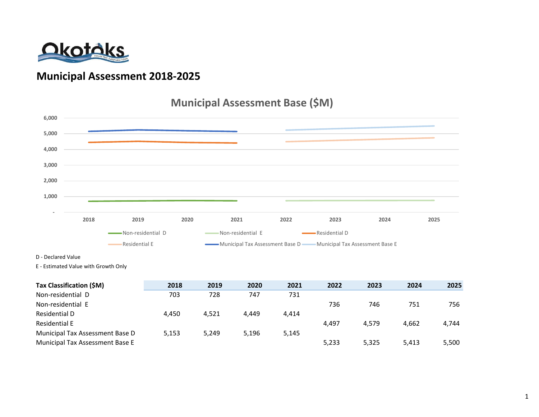

### **Municipal Assessment 2018-2025**

### **Municipal Assessment Base (\$M)**



D - Declared Value

E - Estimated Value with Growth Only

| Tax Classification (\$M)        | 2018  | 2019  | 2020  | 2021  | 2022  | 2023  | 2024  | 2025  |
|---------------------------------|-------|-------|-------|-------|-------|-------|-------|-------|
| Non-residential D               | 703   | 728   | 747   | 731   |       |       |       |       |
| Non-residential E               |       |       |       |       | 736   | 746   | 751   | 756   |
| Residential D                   | 4.450 | 4.521 | 4.449 | 4.414 |       |       |       |       |
| <b>Residential E</b>            |       |       |       |       | 4.497 | 4.579 | 4.662 | 4,744 |
| Municipal Tax Assessment Base D | 5,153 | 5.249 | 5.196 | 5,145 |       |       |       |       |
| Municipal Tax Assessment Base E |       |       |       |       | 5,233 | 5,325 | 5.413 | 5,500 |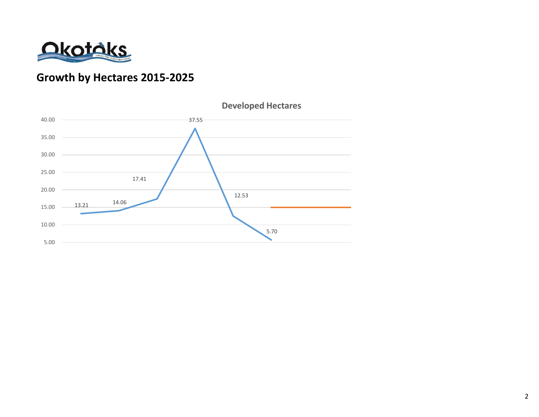

# **Growth by Hectares 2015-2025**

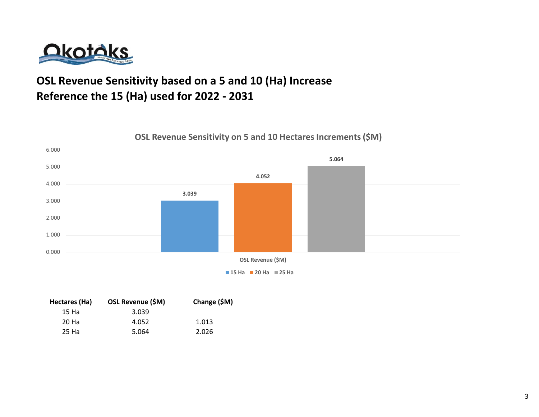

# **OSL Revenue Sensitivity based on a 5 and 10 (Ha) Increase Reference the 15 (Ha) used for 2022 - 2031**



**OSL Revenue Sensitivity on 5 and 10 Hectares Increments (\$M)**

**15 Ha 20 Ha 25 Ha**

| Hectares (Ha) | OSL Revenue (\$M) | Change (\$M) |  |  |  |
|---------------|-------------------|--------------|--|--|--|
| 15 Ha         | 3.039             |              |  |  |  |
| 20 Ha         | 4.052             | 1.013        |  |  |  |
| 25 Ha         | 5.064             | 2.026        |  |  |  |